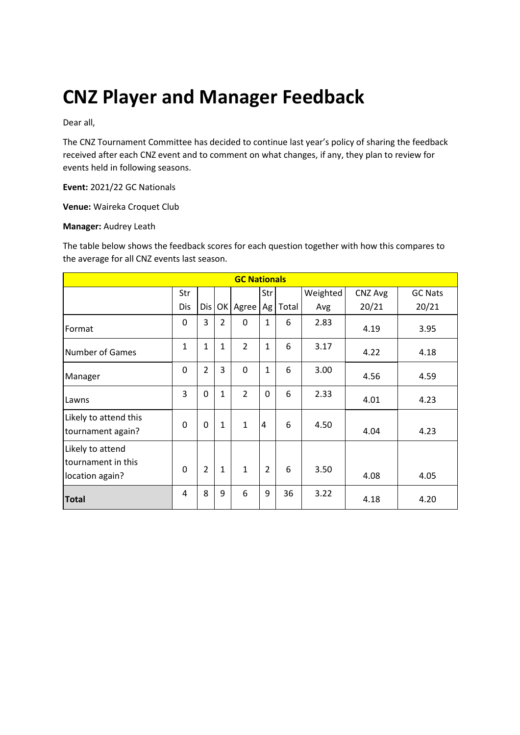# **CNZ Player and Manager Feedback**

Dear all,

The CNZ Tournament Committee has decided to continue last year's policy of sharing the feedback received after each CNZ event and to comment on what changes, if any, they plan to review for events held in following seasons.

**Event:** 2021/22 GC Nationals

**Venue:** Waireka Croquet Club

#### **Manager:** Audrey Leath

The table below shows the feedback scores for each question together with how this compares to the average for all CNZ events last season.

| <b>GC Nationals</b>                                       |          |                |                |                |                |       |          |         |                |
|-----------------------------------------------------------|----------|----------------|----------------|----------------|----------------|-------|----------|---------|----------------|
|                                                           | Str      |                |                |                | Str            |       | Weighted | CNZ Avg | <b>GC Nats</b> |
|                                                           | Dis      | Dis            | OK             | Agree          | Ag             | Total | Avg      | 20/21   | 20/21          |
| Format                                                    | 0        | 3              | $\overline{2}$ | 0              | $\mathbf{1}$   | 6     | 2.83     | 4.19    | 3.95           |
| <b>Number of Games</b>                                    | 1        | $\mathbf{1}$   | 1              | $\overline{2}$ | $\mathbf{1}$   | 6     | 3.17     | 4.22    | 4.18           |
| Manager                                                   | 0        | $\overline{2}$ | 3              | 0              | $\overline{1}$ | 6     | 3.00     | 4.56    | 4.59           |
| Lawns                                                     | 3        | 0              | $\mathbf{1}$   | $\mathcal{P}$  | 0              | 6     | 2.33     | 4.01    | 4.23           |
| Likely to attend this<br>tournament again?                | $\Omega$ | 0              | $\mathbf{1}$   | $\mathbf{1}$   | $\overline{4}$ | 6     | 4.50     | 4.04    | 4.23           |
| Likely to attend<br>tournament in this<br>location again? | $\Omega$ | $\overline{2}$ | $\mathbf{1}$   | $\mathbf{1}$   | $\overline{2}$ | 6     | 3.50     | 4.08    | 4.05           |
| <b>Total</b>                                              | 4        | 8              | 9              | 6              | 9              | 36    | 3.22     | 4.18    | 4.20           |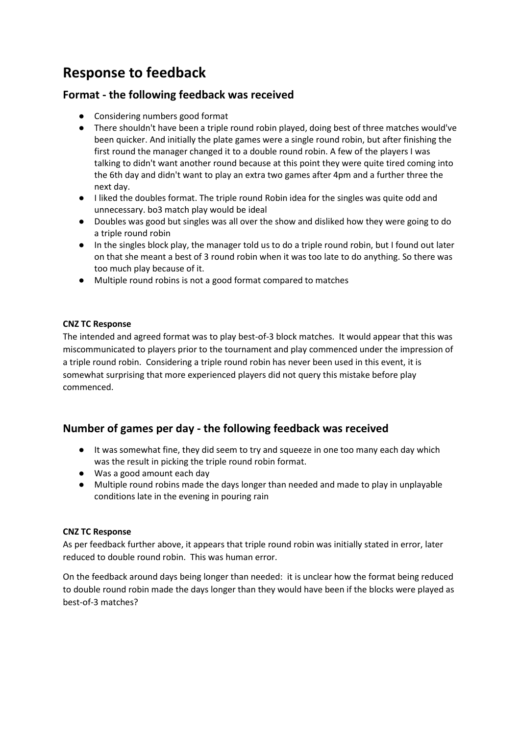# **Response to feedback**

# **Format - the following feedback was received**

- Considering numbers good format
- There shouldn't have been a triple round robin played, doing best of three matches would've been quicker. And initially the plate games were a single round robin, but after finishing the first round the manager changed it to a double round robin. A few of the players I was talking to didn't want another round because at this point they were quite tired coming into the 6th day and didn't want to play an extra two games after 4pm and a further three the next day.
- I liked the doubles format. The triple round Robin idea for the singles was quite odd and unnecessary. bo3 match play would be ideal
- Doubles was good but singles was all over the show and disliked how they were going to do a triple round robin
- In the singles block play, the manager told us to do a triple round robin, but I found out later on that she meant a best of 3 round robin when it was too late to do anything. So there was too much play because of it.
- Multiple round robins is not a good format compared to matches

#### **CNZ TC Response**

The intended and agreed format was to play best-of-3 block matches. It would appear that this was miscommunicated to players prior to the tournament and play commenced under the impression of a triple round robin. Considering a triple round robin has never been used in this event, it is somewhat surprising that more experienced players did not query this mistake before play commenced.

# **Number of games per day - the following feedback was received**

- It was somewhat fine, they did seem to try and squeeze in one too many each day which was the result in picking the triple round robin format.
- Was a good amount each day
- Multiple round robins made the days longer than needed and made to play in unplayable conditions late in the evening in pouring rain

#### **CNZ TC Response**

As per feedback further above, it appears that triple round robin was initially stated in error, later reduced to double round robin. This was human error.

On the feedback around days being longer than needed: it is unclear how the format being reduced to double round robin made the days longer than they would have been if the blocks were played as best-of-3 matches?